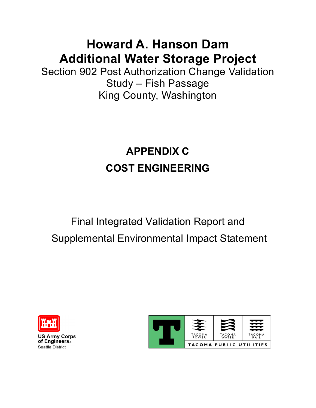# **Howard A. Hanson Dam Additional Water Storage Project**

Section 902 Post Authorization Change Validation Study – Fish Passage King County, Washington

# **APPENDIX C COST ENGINEERING**

# Final Integrated Validation Report and Supplemental Environmental Impact Statement



**US Army Corps of Engineers®**  Seattle District

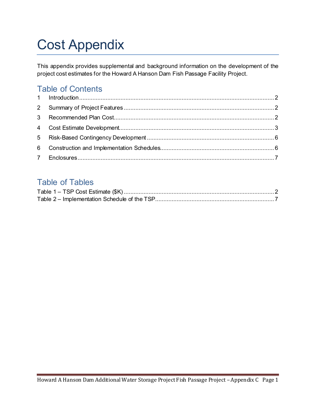# Cost Appendix

This appendix provides supplemental and background information on the development of the project cost estimates for the Howard A Hanson Dam Fish Passage Facility Project.

# Table of Contents

# Table of Tables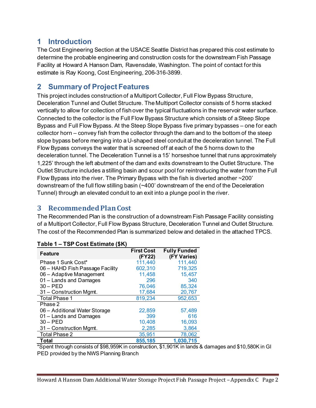## <span id="page-2-0"></span>**1 Introduction**

The Cost Engineering Section at the USACE Seattle District has prepared this cost estimate to determine the probable engineering and construction costs for the downstream Fish Passage Facility at Howard A Hanson Dam, Ravensdale, Washington. The point of contact for this estimate is Ray Koong, Cost Engineering, 206-316-3899.

## <span id="page-2-1"></span>**2 Summary of Project Features**

This project includes construction of a Multiport Collector, Full Flow Bypass Structure, Deceleration Tunnel and Outlet Structure. The Multiport Collector consists of 5 horns stacked vertically to allow for collection of fish over the typical fluctuations in the reservoir water surface. Connected to the collector is the Full Flow Bypass Structure which consists of a Steep Slope Bypass and Full Flow Bypass. At the Steep Slope Bypass five primary bypasses – one for each collector horn – convey fish from the collector through the dam and to the bottom of the steep slope bypass before merging into a U-shaped steel conduit at the deceleration tunnel. The Full Flow Bypass conveys the water that is screened off at each of the 5 horns down to the deceleration tunnel. The Deceleration Tunnel is a 15' horseshoe tunnel that runs approximately 1,225' through the left abutment of the dam and exits downstream to the Outlet Structure. The Outlet Structure includes a stilling basin and scour pool for reintroducing the water from the Full Flow Bypass into the river. The Primary Bypass with the fish is diverted another ~200' downstream of the full flow stilling basin (~400' downstream of the end of the Deceleration Tunnel) through an elevated conduit to an exit into a plunge pool in the river.

## <span id="page-2-2"></span>**3 Recommended Plan Cost**

The Recommended Plan is the construction of a downstream Fish Passage Facility consisting of a Multiport Collector, Full Flow Bypass Structure, Deceleration Tunnel and Outlet Structure. The cost of the Recommended Plan is summarized below and detailed in the attached TPCS.

| <b>Feature</b>                  | <b>First Cost</b><br>(FY22) | <b>Fully Funded</b><br>(FY Varies) |
|---------------------------------|-----------------------------|------------------------------------|
| Phase 1 Sunk Cost*              | 111,440                     | 111,440                            |
| 06 - HAHD Fish Passage Facility | 602,310                     | 719,325                            |
| 06 - Adaptive Management        | 11,458                      | 15,457                             |
| 01 - Lands and Damages          | 296                         | 340                                |
| $30 - PED$                      | 76,046                      | 85,324                             |
| 31 - Construction Mgmt.         | 17,684                      | 20,767                             |
| <b>Total Phase 1</b>            | 819,234                     | 952,653                            |
| Phase 2                         |                             |                                    |
| 06 - Additional Water Storage   | 22,859                      | 57,489                             |
| 01 - Lands and Damages          | 399                         | 616                                |
| $30 - PED$                      | 10,408                      | 16,093                             |
| 31 - Construction Mgmt.         | 2,285                       | 3,864                              |
| Total Phase 2                   | 35,951                      | 78,062                             |
| <b>Total</b>                    | 855,185                     | 1,030,715                          |

### <span id="page-2-3"></span>**Table 1 – TSP Cost Estimate (\$K)**

\*Spent through consists of \$98,959K in construction, \$1,901K in lands & damages and \$10,580K in GI PED provided by the NWS Planning Branch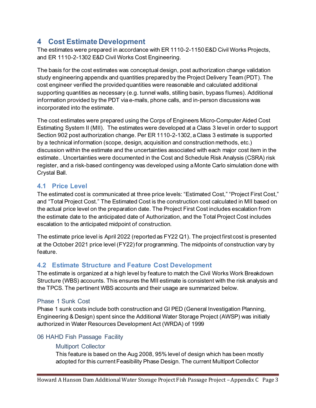## <span id="page-3-0"></span>**4 Cost Estimate Development**

The estimates were prepared in accordance with ER 1110-2-1150 E&D Civil Works Projects, and ER 1110-2-1302 E&D Civil Works Cost Engineering.

The basis for the cost estimates was conceptual design, post authorization change validation study engineering appendix and quantities prepared by the Project Delivery Team (PDT). The cost engineer verified the provided quantities were reasonable and calculated additional supporting quantities as necessary (e.g. tunnel walls, stilling basin, bypass flumes). Additional information provided by the PDT via e-mails, phone calls, and in-person discussions was incorporated into the estimate.

The cost estimates were prepared using the Corps of Engineers Micro-Computer Aided Cost Estimating System II (MII). The estimates were developed at a Class 3 level in order to support Section 902 post authorization change. Per ER 1110-2-1302, a Class 3 estimate is supported by a technical information (scope, design, acquisition and construction methods, etc.) discussion within the estimate and the uncertainties associated with each major cost item in the estimate.. Uncertainties were documented in the Cost and Schedule Risk Analysis (CSRA) risk register, and a risk-based contingency was developed using a Monte Carlo simulation done with Crystal Ball.

## **4.1 Price Level**

The estimated cost is communicated at three price levels: "Estimated Cost," "Project First Cost," and "Total Project Cost." The Estimated Cost is the construction cost calculated in MII based on the actual price level on the preparation date. The Project First Cost includes escalation from the estimate date to the anticipated date of Authorization, and the Total Project Cost includes escalation to the anticipated midpoint of construction.

The estimate price level is April 2022 (reported as FY22 Q1). The project first cost is presented at the October 2021 price level (FY22) for programming. The midpoints of construction vary by feature.

## **4.2 Estimate Structure and Feature Cost Development**

The estimate is organized at a high level by feature to match the Civil Works Work Breakdown Structure (WBS) accounts. This ensures the MII estimate is consistent with the risk analysis and the TPCS. The pertinent WBS accounts and their usage are summarized below.

### Phase 1 Sunk Cost

Phase 1 sunk costs include both construction and GI PED (General Investigation Planning, Engineering & Design) spent since the Additional Water Storage Project (AWSP) was initially authorized in Water Resources Development Act (WRDA) of 1999

## 06 HAHD Fish Passage Facility

### Multiport Collector

This feature is based on the Aug 2008, 95% level of design which has been mostly adopted for this current Feasibility Phase Design. The current Multiport Collector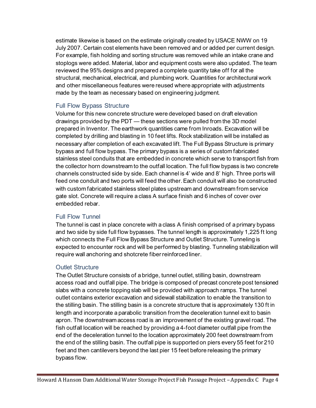estimate likewise is based on the estimate originally created by USACE NWW on 19 July 2007. Certain cost elements have been removed and or added per current design. For example, fish holding and sorting structure was removed while an intake crane and stoplogs were added. Material, labor and equipment costs were also updated. The team reviewed the 95% designs and prepared a complete quantity take off for all the structural, mechanical, electrical, and plumbing work. Quantities for architectural work and other miscellaneous features were reused where appropriate with adjustments made by the team as necessary based on engineering judgment.

### Full Flow Bypass Structure

Volume for this new concrete structure were developed based on draft elevation drawings provided by the PDT — these sections were pulled from the 3D model prepared in Inventor. The earthwork quantities came from Inroads. Excavation will be completed by drilling and blasting in 10 feet lifts. Rock stabilization will be installed as necessary after completion of each excavated lift. The Full Bypass Structure is primary bypass and full flow bypass. The primary bypass is a series of custom fabricated stainless steel conduits that are embedded in concrete which serve to transport fish from the collector horn downstream to the outfall location. The full flow bypass is two concrete channels constructed side by side. Each channel is 4' wide and 8' high. Three ports will feed one conduit and two ports will feed the other. Each conduit will also be constructed with custom fabricated stainless steel plates upstream and downstream from service gate slot. Concrete will require a class A surface finish and 6 inches of cover over embedded rebar.

## Full Flow Tunnel

The tunnel is cast in place concrete with a class A finish comprised of a primary bypass and two side by side full flow bypasses. The tunnel length is approximately 1,225 ft long which connects the Full Flow Bypass Structure and Outlet Structure. Tunneling is expected to encounter rock and will be performed by blasting. Tunneling stabilization will require wall anchoring and shotcrete fiber reinforced liner.

### Outlet Structure

The Outlet Structure consists of a bridge, tunnel outlet, stilling basin, downstream access road and outfall pipe. The bridge is composed of precast concrete post tensioned slabs with a concrete topping slab will be provided with approach ramps. The tunnel outlet contains exterior excavation and sidewall stabilization to enable the transition to the stilling basin. The stilling basin is a concrete structure that is approximately 130 ft in length and incorporate a parabolic transition from the deceleration tunnel exit to basin apron. The downstream access road is an improvement of the existing gravel road. The fish outfall location will be reached by providing a 4-foot diameter outfall pipe from the end of the deceleration tunnel to the location approximately 200 feet downstream from the end of the stilling basin. The outfall pipe is supported on piers every 55 feet for 210 feet and then cantilevers beyond the last pier 15 feet before releasing the primary bypass flow.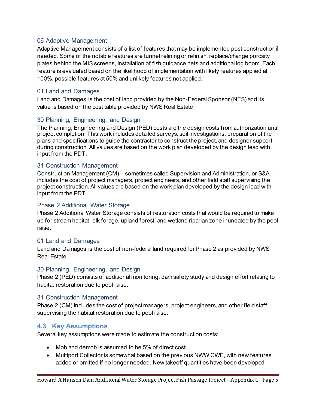#### 06 Adaptive Management

Adaptive Management consists of a list of features that may be implemented post construction if needed. Some of the notable features are tunnel relining or refinish, replace/change porosity plates behind the MIS screens, installation of fish guidance nets and additional log boom. Each feature is evaluated based on the likelihood of implementation with likely features applied at 100%, possible features at 50% and unlikely features not applied.

#### 01 Land and Damages

Land and Damages is the cost of land provided by the Non-Federal Sponsor (NFS) and its value is based on the cost table provided by NWS Real Estate.

#### 30 Planning, Engineering, and Design

The Planning, Engineering and Design (PED) costs are the design costs from authorization until project completion. This work includes detailed surveys, soil investigations, preparation of the plans and specifications to guide the contractor to construct the project, and designer support during construction. All values are based on the work plan developed by the design lead with input from the PDT.

#### 31 Construction Management

Construction Management (CM) – sometimes called Supervision and Administration, or S&A – includes the cost of project managers, project engineers, and other field staff supervising the project construction. All values are based on the work plan developed by the design lead with input from the PDT.

#### Phase 2 Additional Water Storage

Phase 2 Additional Water Storage consists of restoration costs that would be required to make up for stream habitat, elk forage, upland forest, and wetland riparian zone inundated by the pool raise.

#### 01 Land and Damages

Land and Damages is the cost of non-federal land required for Phase 2 as provided by NWS Real Estate.

#### 30 Planning, Engineering, and Design

Phase 2 (PED) consists of additional monitoring, dam safety study and design effort relating to habitat restoration due to pool raise.

#### 31 Construction Management

Phase 2 (CM) includes the cost of project managers, project engineers, and other field staff supervising the habitat restoration due to pool raise.

### **4.3 Key Assumptions**

Several key assumptions were made to estimate the construction costs:

- Mob and demob is assumed to be 5% of direct cost.
- Multiport Collector is somewhat based on the previous NWW CWE, with new features added or omitted if no longer needed. New takeoff quantities have been developed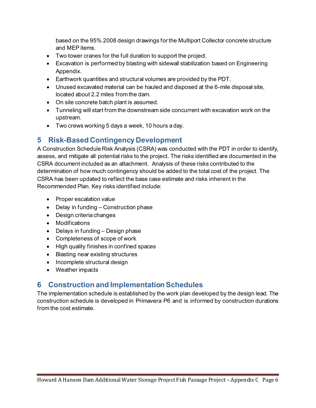based on the 95% 2008 design drawings for the Multiport Collector concrete structure and MEP items.

- Two tower cranes for the full duration to support the project.
- Excavation is performed by blasting with sidewall stabilization based on Engineering Appendix.
- Earthwork quantities and structural volumes are provided by the PDT.
- Unused excavated material can be hauled and disposed at the 6-mile disposal site, located about 2.2 miles from the dam.
- On site concrete batch plant is assumed.
- Tunneling will start from the downstream side concurrent with excavation work on the upstream.
- Two crews working 5 days a week, 10 hours a day.

# <span id="page-6-0"></span>**5 Risk-Based Contingency Development**

A Construction Schedule Risk Analysis (CSRA) was conducted with the PDT in order to identify, assess, and mitigate all potential risks to the project. The risks identified are documented in the CSRA document included as an attachment. Analysis of these risks contributed to the determination of how much contingency should be added to the total cost of the project. The CSRA has been updated to reflect the base case estimate and risks inherent in the Recommended Plan. Key risks identified include:

- Proper escalation value
- Delay in funding Construction phase
- Design criteria changes
- Modifications
- Delays in funding Design phase
- Completeness of scope of work
- High quality finishes in confined spaces
- Blasting near existing structures
- Incomplete structural design
- Weather impacts

# <span id="page-6-1"></span>**6 Construction and Implementation Schedules**

The implementation schedule is established by the work plan developed by the design lead. The construction schedule is developed in Primavera P6 and is informed by construction durations from the cost estimate.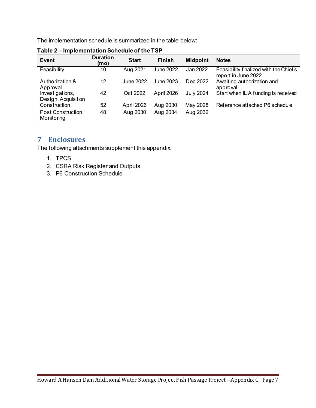The implementation schedule is summarized in the table below:

| Event                                  | <b>Duration</b><br>(mo) | <b>Start</b> | <b>Finish</b>    | <b>Midpoint</b>  | <b>Notes</b>                                                   |
|----------------------------------------|-------------------------|--------------|------------------|------------------|----------------------------------------------------------------|
| Feasibility                            | 10                      | Aug 2021     | <b>June 2022</b> | Jan 2022         | Feasibility finalized with the Chief's<br>report in June 2022. |
| Authorization &<br>Approval            | 12                      | June 2022    | June 2023        | Dec 2022         | Awaiting authorization and<br>approval                         |
| Investigations,<br>Design, Acquisition | 42                      | Oct 2022     | April 2026       | <b>July 2024</b> | Start when IIJA funding is received                            |
| Construction                           | 52                      | April 2026   | Aug 2030         | May 2028         | Reference attached P6 schedule                                 |
| <b>Post Construction</b><br>Monitoring | 48                      | Aug 2030     | Aug 2034         | Aug 2032         |                                                                |

<span id="page-7-1"></span>**Table 2 – Implementation Schedule of the TSP**

## <span id="page-7-0"></span>**7 Enclosures**

The following attachments supplement this appendix.

- 1. TPCS
- 2. CSRA Risk Register and Outputs
- 3. P6 Construction Schedule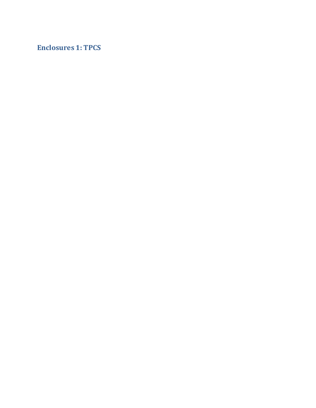# **Enclosures 1: TPCS**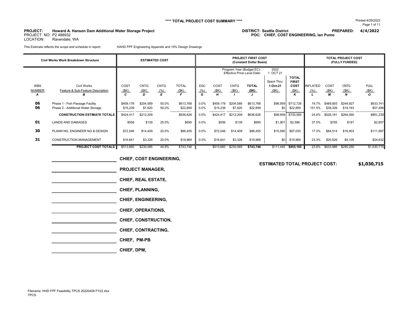#### **\*\*\*\* TOTAL PROJECT COST SUMMARY \*\*\*\***

**PROJECT:**

 **DISTRICT: Seattle District PREPARED: 4/4/2022 Howard A. Hanson Dam Additional Water Storage Project POC: CHIEF, COST ENGINEERING, Ian Pumo**

PROJECT NO: P2 488932LOCATION: Ravendale, WA

This Estimate reflects the scope and schedule in report; HAHD FPF Engineering Appendix and 15% Design Drawings

|               | Civil Works Work Breakdown Structure |           | <b>ESTIMATED COST</b> |             |              | <b>PROJECT FIRST COST</b><br>(Constant Dollar Basis)            |                                     |           |                               |                              |           |                 | <b>TOTAL PROJECT COST</b><br>(FULLY FUNDED) |             |                              |  |
|---------------|--------------------------------------|-----------|-----------------------|-------------|--------------|-----------------------------------------------------------------|-------------------------------------|-----------|-------------------------------|------------------------------|-----------|-----------------|---------------------------------------------|-------------|------------------------------|--|
|               |                                      |           |                       |             |              | Program Year (Budget EC):<br><b>Effective Price Level Date:</b> |                                     |           | 2022<br>OCT 21<br>Spent Thru: | <b>TOTAL</b><br><b>FIRST</b> |           |                 |                                             |             |                              |  |
| <b>WBS</b>    | <b>Civil Works</b>                   | COST      | <b>CNTG</b>           | <b>CNTG</b> | <b>TOTAL</b> | <b>ESC</b>                                                      | COST<br><b>CNTG</b><br><b>TOTAL</b> |           |                               | 1-Oct-21                     | COST      | <b>INFLATED</b> | COST                                        | <b>CNTG</b> | <b>FULL</b>                  |  |
| <b>NUMBER</b> | Feature & Sub-Feature Description    | (SK)<br>C | (SK)<br>D             | (% )<br>E   | <u>(\$K)</u> | (% )<br>G                                                       | (SK)<br>H                           | (SK)      | (SK)                          | (SK)                         | (SK)<br>ĸ | (% )            | (SK)<br>М                                   | (SK)        | <u>(\$K)</u><br>$\mathbf{o}$ |  |
| А             |                                      |           |                       |             |              |                                                                 |                                     |           |                               |                              |           |                 |                                             |             |                              |  |
| 06            | Phase 1 - Fish Passage Facility      | \$409,178 | \$204,589             | 50.0%       | \$613,768    | 0.0%                                                            | \$409,178                           | \$204,589 | \$613,768                     | \$98,959                     | \$712,726 | 19.7%           | \$489.855                                   | \$244,927   | \$833,741                    |  |
| 06            | Phase 2 - Additional Water Storage   | \$15,239  | \$7,620               | 50.0%       | \$22,859     | 0.0%                                                            | \$15,239                            | \$7,620   | \$22,859                      | \$0                          | \$22,859  | 151.5%          | \$38,326                                    | \$19,163    | \$57,489                     |  |
|               | <b>CONSTRUCTION ESTIMATE TOTALS</b>  | \$424,417 | \$212,209             |             | \$636,626    | 0.0%                                                            | \$424,417                           | \$212,209 | \$636,626                     | \$98,959                     | \$735,585 | 24.4%           | \$528,181                                   | \$264,090   | \$891,230                    |  |
| 01            | <b>LANDS AND DAMAGES</b>             | \$556     | \$139                 | 25.0%       | \$695        | 0.0%                                                            | \$556                               | \$139     | \$695                         | \$1,901                      | \$2,596   | 37 5%           | \$765                                       | \$191       | \$2,857                      |  |
| 30            | PLANN NG, ENGINEER NG & DESIGN       | \$72,046  | \$14,409              | 20.0%       | \$86,455     | $0.0\%$                                                         | \$72,046                            | \$14,409  | \$86,455                      | \$10,580                     | \$97,035  | 17.3%           | \$84,514                                    | \$16,903    | \$111,997                    |  |
| 31            | <b>CONSTRUCTION MANAGEMENT</b>       | \$16,641  | \$3,328               | 20.0%       | \$19,969     | $0.0\%$<br>\$16,641<br>\$3,328<br>\$19,969                      |                                     | \$0       | \$19,969                      | 23.3%                        | \$20,526  | \$4,105         | \$24,632                                    |             |                              |  |
|               | <b>PROJECT COST TOTALS</b>           | \$513,660 | \$230,085             | 44.8%       | \$743.746    |                                                                 | \$513,660                           | \$230,085 | \$743.746                     | \$111,440                    | \$855.185 | 23.6%           | \$633,986                                   | \$285,290   | \$1,030,715                  |  |

| <b>CHIEF, COST ENGINEERING,</b> |
|---------------------------------|
| <b>PROJECT MANAGER,</b>         |
| <b>CHIEF, REAL ESTATE,</b>      |
| <b>CHIEF, PLANNING,</b>         |
| <b>CHIEF, ENGINEERING,</b>      |
| <b>CHIEF, OPERATIONS,</b>       |
| CHIEF, CONSTRUCTION,            |
| CHIEF, CONTRACTING,             |
| CHIEF, PM-PB                    |
| CHIEF, DPM,                     |
|                                 |

**ESTIMATED TOTAL PROJECT COST:**

**\$1,030,715**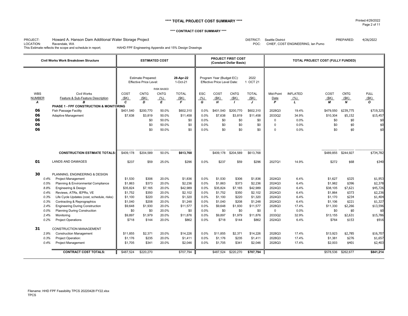#### **\*\*\*\* TOTAL PROJECT COST SUMMARY \*\*\*\***

#### **\*\*\*\* CONTRACT COST SUMMARY \*\*\*\***

#### PROJECT:<br>LOCATION: DISTRICT: Seattle District PREPARED: 4/26/2022 Howard A. Hanson Dam Additional Water Storage Project

Ravendale, WA **Ravendale, WA POC:** CHIEF, COST ENGINEERING, Ian Pumo

This Estimate reflects the scope and schedule in report; HAHD FPF Engineering Appendix and 15% Design Drawings

|               | Civil Works Work Breakdown Structure                                          |                    |                                                                                                          | <b>ESTIMATED COST</b> |                    |              |                                                          | <b>PROJECT FIRST COST</b><br>(Constant Dollar Basis) |                     | TOTAL PROJECT COST (FULLY FUNDED) |                 |                    |                  |                    |
|---------------|-------------------------------------------------------------------------------|--------------------|----------------------------------------------------------------------------------------------------------|-----------------------|--------------------|--------------|----------------------------------------------------------|------------------------------------------------------|---------------------|-----------------------------------|-----------------|--------------------|------------------|--------------------|
|               |                                                                               |                    | <b>Estimate Prepared:</b><br>28-Apr-22<br><b>Effective Price Level:</b><br>1-Oct-21<br><b>RISK BASED</b> |                       |                    |              | Program Year (Budget EC):<br>Effective Price Level Date: |                                                      | 2022<br>1 OCT 21    |                                   |                 |                    |                  |                    |
| <b>WBS</b>    | <b>Civil Works</b>                                                            | COST               | <b>CNTG</b>                                                                                              | <b>CNTG</b>           | <b>TOTAL</b>       | <b>ESC</b>   | COST                                                     | <b>CNTG</b>                                          | <b>TOTAL</b>        | Mid-Point                         | <b>INFLATED</b> | COST               | <b>CNTG</b>      | <b>FULL</b>        |
| <b>NUMBER</b> | Feature & Sub-Feature Description                                             | (SK)               | (SK)                                                                                                     | (% )                  | (SK)               | (% )         | (SK)                                                     | (SK)                                                 | (SK)                | Date                              | (% )            | (SK)               | (SK)             | (SK)               |
| A             | R                                                                             | C                  | D                                                                                                        | E                     | E                  | G            | H                                                        | $\mathbf{I}$                                         | J                   | P                                 | $\mathbf{L}$    | М                  | $\boldsymbol{N}$ | $\mathbf{o}$       |
|               | PHASE 1 - FPF CONSTRUCTION & MONITORING                                       |                    |                                                                                                          |                       |                    |              |                                                          |                                                      |                     |                                   |                 |                    |                  |                    |
| 06            | <b>Fish Passage Facility</b>                                                  | \$401,540          | \$200,770                                                                                                | 50.0%                 | \$602,310          | 0.0%         | \$401,540                                                | \$200,770                                            | \$602,310           | 2028Q3                            | 19.4%           | \$479,550          | \$239,775        | \$719,325          |
| 06            | <b>Adaptive Management</b>                                                    | \$7.638            | \$3.819                                                                                                  | 50.0%                 | \$11.458           | 0.0%         | \$7,638                                                  | \$3,819                                              | \$11.458            | 2033Q2                            | 34.9%           | \$10,304           | \$5,152          | \$15,457           |
| 06            |                                                                               |                    | \$0                                                                                                      | 50.0%                 | \$0                | 0.0%         | \$0                                                      | \$0                                                  | \$0                 | $\mathbf 0$                       | 0.0%            | \$0                | \$0              | \$0                |
| 06            |                                                                               |                    | \$0                                                                                                      | 50.0%                 | \$0                | 0.0%         | \$0                                                      | \$0                                                  | \$0                 | $\mathbf 0$                       | 0.0%            | \$0                | \$0              | \$0                |
| 06            |                                                                               |                    | \$0                                                                                                      | 50.0%                 | \$0                | 0.0%         | \$0                                                      | \$0                                                  | \$0                 | $\Omega$                          | 0.0%            | \$0                | \$0              | \$0                |
|               | <b>CONSTRUCTION ESTIMATE TOTALS:</b>                                          | \$409,178          | \$204,589                                                                                                | 50.0%                 | \$613,768          |              | \$409,178                                                | \$204,589                                            | \$613,768           |                                   |                 | \$489,855          | \$244,927        | \$734,782          |
| 01            | <b>LANDS AND DAMAGES</b>                                                      | \$237              | \$59                                                                                                     | 25.0%                 | \$296              | 0.0%         | \$237                                                    | \$59                                                 | \$296               | 2027Q1                            | 14.9%           | \$272              | \$68             | \$340              |
| 30            | PLANNING. ENGINEERING & DESIGN                                                |                    |                                                                                                          |                       |                    |              |                                                          |                                                      |                     |                                   |                 |                    |                  |                    |
|               | <b>Project Management</b><br>$0.4\%$                                          | \$1,530            | \$306                                                                                                    | 20.0%                 | \$1,836            | 0.0%         | \$1,530                                                  | \$306                                                | \$1,836             | 2024Q3                            | 6.4%            | \$1,627            | \$325            | \$1,953            |
|               | Planning & Environmental Compliance<br>0.5%                                   | \$1,863            | \$373                                                                                                    | 20.0%                 | \$2,236            | 0.0%         | \$1,863                                                  | \$373                                                | \$2,236             | 2024Q3                            | 6.4%            | \$1,982            | \$396            | \$2,378            |
|               | 8.8%<br><b>Engineering &amp; Design</b>                                       | \$35,824           | \$7,165                                                                                                  | 20.0%                 | \$42,989           | 0.0%         | \$35,824                                                 | \$7,165                                              | \$42,989            | 2024Q3                            | 6.4%            | \$38,105           | \$7,621          | \$45,726           |
|               | Reviews, ATRs, IEPRs, VE<br>0.4%                                              | \$1,752            | \$350                                                                                                    | 20.0%                 | \$2,102            | 0.0%         | \$1,752                                                  | \$350                                                | \$2,102             | 2024Q3                            | 6.4%            | \$1,864            | \$373            | \$2,236            |
|               | Life Cycle Updates (cost, schedule, risks)<br>0.3%<br>0.3%                    | \$1,100            | \$220<br>\$208                                                                                           | 20.0%<br>20.0%        | \$1,320<br>\$1.248 | 0.0%<br>0.0% | \$1,100<br>\$1.040                                       | \$220<br>\$208                                       | \$1,320             | 2024Q3<br>2024Q3                  | 6.4%<br>6.4%    | \$1,170<br>\$1.106 | \$234<br>\$221   | \$1,404<br>\$1,327 |
|               | Contracting & Reprographics<br><b>Engineering During Construction</b><br>2.4% | \$1,040<br>\$9,648 | \$1,930                                                                                                  | 20.0%                 | \$11,577           | 0.0%         | \$9,648                                                  | \$1,930                                              | \$1,248<br>\$11,577 | 2028Q3                            | 17.4%           | \$11,330           | \$2,266          | \$13,596           |
|               | 0.0%<br><b>Planning During Construction</b>                                   | \$0                | \$0                                                                                                      | 20.0%                 | \$0                | 0.0%         | \$0                                                      | \$0                                                  | \$0                 | $\mathbf 0$                       | 0.0%            | \$0                | \$0              | \$0                |
|               | 2.4%<br>Monitoring                                                            | \$9,897            | \$1,979                                                                                                  | 20.0%                 | \$11,876           | 0.0%         | \$9,897                                                  | \$1,979                                              | \$11,876            | 2033Q2                            | 32.9%           | \$13,155           | \$2,631          | \$15,786           |
|               | 0.2%<br><b>Project Operations</b>                                             | \$718              | \$144                                                                                                    | 20.0%                 | \$862              | 0.0%         | \$718                                                    | \$144                                                | \$862               | 2024Q3                            | 6.4%            | \$764              | \$153            | \$916              |
| 31            | <b>CONSTRUCTION MANAGEMENT</b>                                                |                    |                                                                                                          |                       |                    |              |                                                          |                                                      |                     |                                   |                 |                    |                  |                    |
|               | 2.9%<br><b>Construction Management</b>                                        | \$11,855           | \$2.371                                                                                                  | 20.0%                 | \$14,226           | 0.0%         | \$11,855                                                 | \$2,371                                              | \$14,226            | 2028Q3                            | 17.4%           | \$13,923           | \$2,785          | \$16,707           |
|               | 0.3%<br>Project Operation:                                                    | \$1,176            | \$235                                                                                                    | 20.0%                 | \$1,411            | 0.0%         | \$1,176                                                  | \$235                                                | \$1,411             | 2028Q3                            | 17.4%           | \$1,381            | \$276            | \$1,657            |
|               | 0.4%<br><b>Project Management</b>                                             | \$1,705            | \$341                                                                                                    | 20.0%                 | \$2,046            | 0.0%         | \$1,705                                                  | \$341                                                | \$2,046             | 2028Q3                            | 17.4%           | \$2,003            | \$401            | \$2,403            |
|               | <b>CONTRACT COST TOTALS:</b>                                                  | \$487.524          | \$220.270                                                                                                |                       | \$707,794          |              | \$487.524                                                | \$220,270                                            | \$707.794           |                                   |                 | \$578.536          | \$262,677        | \$841,214          |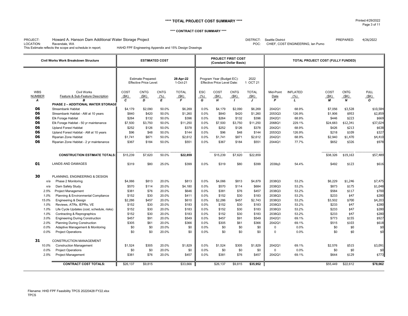#### **\*\*\*\* TOTAL PROJECT COST SUMMARY \*\*\*\***

#### **\*\*\*\* CONTRACT COST SUMMARY \*\*\*\***

#### PROJECT:<br>LOCATION: DISTRICT: Seattle District PREPARED: 4/26/2022 Howard A. Hanson Dam Additional Water Storage Project

LOCATION: Ravendale, WA CONFINITY CONTRIBUTION: Ravendale, WA PUMO CHIEF, COST ENGINEERING, Ian Pumo<br>This Estimate reflects the scope and schedule in report; HAHD FPF Engineering Appendix and 15% Design Drawings HAHD FPF Engineering Appendix and 15% Design Drawings

|                                  | Civil Works Work Breakdown Structure                                                                                       |                              | <b>ESTIMATED COST</b>                                      |                          |                             |                         | <b>PROJECT FIRST COST</b><br>(Constant Dollar Basis)            |                                     |                                        | TOTAL PROJECT COST (FULLY FUNDED) |                                         |                             |                                         |                                     |
|----------------------------------|----------------------------------------------------------------------------------------------------------------------------|------------------------------|------------------------------------------------------------|--------------------------|-----------------------------|-------------------------|-----------------------------------------------------------------|-------------------------------------|----------------------------------------|-----------------------------------|-----------------------------------------|-----------------------------|-----------------------------------------|-------------------------------------|
|                                  |                                                                                                                            |                              | <b>Estimate Prepared:</b><br><b>Effective Price Level:</b> |                          | 28-Apr-22<br>1-Oct-21       |                         | Program Year (Budget EC):<br><b>Effective Price Level Date:</b> |                                     | 2022<br>1 OCT 21                       |                                   |                                         |                             |                                         |                                     |
| <b>WBS</b><br><b>NUMBER</b><br>А | <b>Civil Works</b><br>Feature & Sub-Feature Description<br>B<br>PHASE 2 - ADDITIONAL WATER STORAGE                         | COST<br>(SK)<br>$\mathbf{c}$ | <b>CNTG</b><br>(SK)<br>D                                   | <b>CNTG</b><br>(% )<br>E | <b>TOTAL</b><br>(SK)<br>E   | <b>ESC</b><br>(% )<br>G | COST<br>(SK)<br>H                                               | <b>CNTG</b><br>(SK)<br>$\mathbf{I}$ | <b>TOTAL</b><br>(SK)<br>$\overline{J}$ | Mid-Point<br>Date<br>P            | <b>INFLATED</b><br>(% )<br>$\mathbf{L}$ | COST<br>(SK)<br>М           | <b>CNTG</b><br>(SK)<br>$\boldsymbol{N}$ | <b>FULL</b><br>(SK)<br>$\mathbf{o}$ |
| 06<br>06<br>06                   | <b>Streambank Habitat</b><br>Streambank Habitat - AM at 10 years<br>Elk Forage Habitat                                     | \$4,179<br>\$840<br>\$264    | \$2,090<br>\$420<br>\$132                                  | 50.0%<br>50.0%<br>50.0%  | \$6,269<br>\$1,260<br>\$396 | 0.0%<br>0.0%<br>0.0%    | \$4,179<br>\$840<br>\$264                                       | \$2,090<br>\$420<br>\$132           | \$6,269<br>\$1,260<br>\$396            | 2042Q1<br>2053Q3<br>2042Q1        | 68.9%<br>126.9%<br>68.9%                | \$7,056<br>\$1,906<br>\$446 | \$3,528<br>\$953<br>\$223               | \$10,584<br>\$2,859<br>\$669        |
| 06<br>06                         | Elk Forage Habitat - 50 yr maintenance<br><b>Upland Forest Habitat</b>                                                     | \$7,500<br>\$252             | \$3,750<br>\$126                                           | 50.0%<br>50.0%           | \$11,250<br>\$378           | 0.0%<br>0.0%            | \$7,500<br>\$252                                                | \$3,750<br>\$126                    | \$11,250<br>\$378                      | 2068Q1<br>2042Q1                  | 229.1%<br>68.9%                         | \$24,683<br>\$426           | \$12,341<br>\$213                       | \$37,024<br>\$638                   |
| 06<br>06<br>06                   | Upland Forest Habitat - AM at 10 years<br><b>Riparian Zone Habitat</b><br>Riparian Zone Habitat - 2 yr maintenance         | \$96<br>\$1,741<br>\$367     | \$48<br>\$871<br>\$184                                     | 50.0%<br>50.0%<br>50.0%  | \$144<br>\$2,612<br>\$551   | 0.0%<br>0.0%<br>0.0%    | \$96<br>\$1,741<br>\$367                                        | \$48<br>\$871<br>\$184              | \$144<br>\$2,612<br>\$551              | 2053Q3<br>2042Q1<br>2044Q1        | 126.9%<br>68.9%<br>77.7%                | \$218<br>\$2,940<br>\$652   | \$109<br>\$1,470<br>\$326               | \$327<br>\$4,410<br>\$978           |
|                                  | <b>CONSTRUCTION ESTIMATE TOTALS:</b>                                                                                       | \$15,239                     | \$7.620                                                    | 50.0%                    | \$22,859                    |                         | \$15,239                                                        | \$7.620                             | \$22,859                               |                                   |                                         | \$38,326                    | \$19,163                                | \$57,489                            |
| 01                               | <b>LANDS AND DAMAGES</b>                                                                                                   | \$319                        | \$80                                                       | 25.0%                    | \$399                       | 0.0%                    | \$319                                                           | \$80                                | \$399                                  | 2038q3                            | 54.4%                                   | \$492                       | \$123                                   | \$616                               |
| 30<br>n/a<br>n/a                 | PLANNING, ENGINEERING & DESIGN<br>Phase 2 Monitoring<br>Dam Safety Study                                                   | \$4,066<br>\$570             | \$813<br>\$114                                             | 20.0%<br>20.0%           | \$813<br>\$4,180            | 0.0%<br>0.0%            | \$4,066<br>\$570                                                | \$813<br>\$114                      | \$4,879<br>\$684                       | 2038Q3<br>2038Q3                  | 53.2%<br>53.2%                          | \$6,229<br>\$873            | \$1,246<br>\$175                        | \$7,475<br>\$1,048                  |
| 2.5%<br>1.0%                     | <b>Project Management</b><br>Planning & Environmental Compliance                                                           | \$381<br>\$152               | \$76<br>\$30                                               | 20.0%<br>20.0%           | \$646<br>\$411              | 0.0%<br>0.0%            | \$381<br>\$152                                                  | \$76<br>\$30                        | \$457<br>\$183                         | 2038Q3<br>2038Q3                  | 53.2%<br>53.2%                          | \$584<br>\$233              | \$117<br>\$47                           | \$700<br>\$280                      |
| 15.0%<br>1.0%<br>1.0%            | Engineering & Design<br>Reviews, ATRs, IEPRs, VE<br>Life Cycle Updates (cost, schedule, risks)                             | \$2,286<br>\$152<br>\$152    | \$457<br>\$30<br>\$30                                      | 20.0%<br>20.0%<br>20.0%  | \$610<br>\$183<br>\$183     | 0.0%<br>0.0%<br>0.0%    | \$2,286<br>\$152<br>\$152                                       | \$457<br>\$30<br>\$30               | \$2,743<br>\$183<br>\$183              | 2038Q3<br>2038Q3<br>2038Q3        | 53.2%<br>53.2%<br>53.2%                 | \$3,502<br>\$233<br>\$233   | \$700<br>\$47<br>\$47                   | \$4,203<br>\$280<br>\$280           |
| 1.0%<br>3.0%<br>2.0%             | Contracting & Reprographics<br><b>Engineering During Construction</b><br>Planning During Construction                      | \$152<br>\$457<br>\$305      | \$30<br>\$91<br>\$61                                       | 20.0%<br>20.0%<br>20.0%  | \$183<br>\$549<br>\$366     | 0.0%<br>0.0%<br>0.0%    | \$152<br>\$457<br>\$305                                         | \$30<br>\$91<br>\$61                | \$183<br>\$549<br>\$366                | 2038Q3<br>2042Q1<br>2042Q1        | 53.2%<br>69.1%<br>69.1%                 | \$233<br>\$773<br>\$515     | \$47<br>\$155<br>\$103                  | \$280<br>\$927<br>\$618             |
| 0.0%<br>0.0%                     | Adaptive Management & Monitoring<br><b>Project Operations</b>                                                              | \$0<br>\$0                   | \$0<br>\$0                                                 | 20.0%<br>20.0%           | \$0<br>\$0                  | 0.0%<br>0.0%            | \$0<br>\$0                                                      | \$0<br>\$0                          | \$0<br>\$0                             | $\Omega$<br>$\Omega$              | 0.0%<br>0.0%                            | \$0<br>\$0                  | \$0<br>\$0                              | \$0<br>\$0                          |
| 31<br>10.0%<br>0.0%<br>2.5%      | <b>CONSTRUCTION MANAGEMENT</b><br><b>Construction Management</b><br><b>Project Operations</b><br><b>Project Management</b> | \$1,524<br>\$0<br>\$381      | \$305<br>\$0<br>\$76                                       | 20.0%<br>20.0%<br>20.0%  | \$1,829<br>\$0<br>\$457     | 0.0%<br>0.0%<br>0.0%    | \$1,524<br>\$0<br>\$381                                         | \$305<br>\$0<br>\$76                | \$1,829<br>\$0<br>\$457                | 2042Q1<br>0<br>2042Q1             | 69.1%<br>0.0%<br>69.1%                  | \$2,576<br>\$0<br>\$644     | \$515<br>\$0<br>\$129                   | \$3,091<br>\$0<br>\$773             |
|                                  | <b>CONTRACT COST TOTALS:</b>                                                                                               | \$26.137                     | \$9.815                                                    |                          | \$33,666                    |                         | \$26,137                                                        | \$9.815                             | \$35.952                               |                                   |                                         | \$55,449                    | \$22.612                                | \$78.062                            |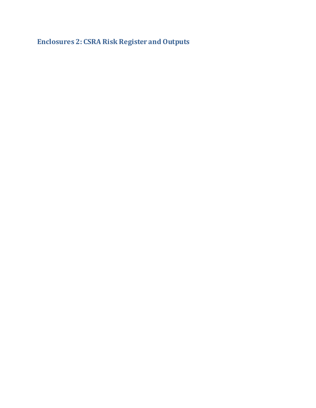**Enclosures 2: CSRA Risk Register and Outputs**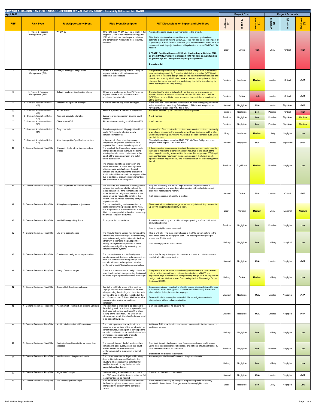| April 2022      |                                                                    |                                                        | HOWARD A. HANSON DAM FISH PASSAGE - SECTION 902 VALIDATION STUDY - Feasibility Milestone #4 - CWRB                                                                                                                                                                                                                                                                                                                                                                                                                                                                                      |                                                                                                                                                                                                                                                                                                                                                                                                                                                                                                                                 |                   | <b>Project Cost</b>      |                        |                         | <b>Project Schedule</b>  |                   |
|-----------------|--------------------------------------------------------------------|--------------------------------------------------------|-----------------------------------------------------------------------------------------------------------------------------------------------------------------------------------------------------------------------------------------------------------------------------------------------------------------------------------------------------------------------------------------------------------------------------------------------------------------------------------------------------------------------------------------------------------------------------------------|---------------------------------------------------------------------------------------------------------------------------------------------------------------------------------------------------------------------------------------------------------------------------------------------------------------------------------------------------------------------------------------------------------------------------------------------------------------------------------------------------------------------------------|-------------------|--------------------------|------------------------|-------------------------|--------------------------|-------------------|
| <b>REF</b>      | <b>Risk Type</b><br>1 - Project & Program                          | <b>Risk/Opportunity Event</b><br>WRDA 22               | <b>Risk Event Description</b><br>If the PDT miss WRDA 22. This is likely. If that                                                                                                                                                                                                                                                                                                                                                                                                                                                                                                       | <b>PDT Discussions on Impact and Likelihood</b><br>Assume this could cause a two year delay to the project.                                                                                                                                                                                                                                                                                                                                                                                                                     | Likelihood<br>(C) | Impact (C)               | k Level<br>(C)<br>Risk | $\ddot{\mathbf{z}}$ (9) | $\odot$<br>ಕ<br>Impa     | Risk Level<br>(S) |
| $\mathbf 1$     | Management (PM)                                                    |                                                        | happens, USACE won't receive funding until<br>2025 which reduces the design, acquisition,<br>and construction windows to meet the 2030<br>deadline.                                                                                                                                                                                                                                                                                                                                                                                                                                     | This risk is intentionally excluded because the current goal and cost<br>estimate is setup for making WRDA 22. This risk has a potential impact of<br>2 year delay. If PDT failed to meet this goal then leadership would have to<br>re-assess/plan this project and cost will update the number if WRDA 22 is<br>missed.<br>UPDATE: Seattle will receive \$200m in IIJA funding in October 2022,<br>so even if WRDA window is missded, PDT will have enough funding<br>to get through PED and (potentially begin acquisition). | Likely            | Critical                 | <b>High</b>            | Likely                  | Critical                 | <b>High</b>       |
| $\mathbf{2}$    | 1 - Project & Program<br>Management (PM)                           | Delay in funding - Design phase                        | If there is a funding delay then PDT may be<br>required to take additional measures to<br>accelerate the schedule.                                                                                                                                                                                                                                                                                                                                                                                                                                                                      | Do not model!<br>Design Funding is delays by 6 months and the design team is required to<br>accelerate design work by 6 months. Modeled at a possible (<30%) and<br>up to a 10% increase to design costs due to potential for inefficiencies and<br>rework. As shown by MMD, when work is ran concurrently there is often<br>changes that cause lost work and inefficiency due to the team having to<br>make assumptions to keep moving.                                                                                        | Possible          | Moderate                 | <b>Medium</b>          | Unrated                 | Critical                 | #N/A              |
| -3              | 1 - Project & Program<br>Management (PM)                           | Delay in funding - Construction phase                  | If there is a funding delay then PDT may be<br>required to take additional measures to<br>accelerate the schedule.                                                                                                                                                                                                                                                                                                                                                                                                                                                                      | Construction Funding is delays by 6 months and we are required to<br>shorten the construction duration by 6 months. Modeled at a possible<br>(<30%) and up to a 5% increase in construction cost due to acceleration                                                                                                                                                                                                                                                                                                            | Possible          | Critical                 | <b>High</b>            | Unrated                 | Critical                 | #N/A              |
| $\overline{4}$  | 5 - Contract Acquisition Risks<br>(CA)                             | Undefined acquisition strategy                         | Is there a defined acquisition strategy?                                                                                                                                                                                                                                                                                                                                                                                                                                                                                                                                                | of the contract.<br>While PDT don't have one set currently but it's most likely going to be best<br>value tradeoff and most likely full and open. This is a strategy that we                                                                                                                                                                                                                                                                                                                                                    | Unrated           | Negligible               | #N/A                   | Unrated                 | Significant              | #N/A              |
| 5               | 5 - Contract Acquisition Risks<br>(CA)                             | <b>Risk of Protest</b>                                 | Receive a protest at the end of acquisition                                                                                                                                                                                                                                                                                                                                                                                                                                                                                                                                             | have plenty of experience with. Not a risk.<br>Assume it will take up to 3 months to resolves protest                                                                                                                                                                                                                                                                                                                                                                                                                           | Possible          | Negligible               | Low                    | Possible                | Critical                 | <b>High</b>       |
| 6               | 5 - Contract Acquisition Risks<br>(CA)                             | Year end acquisition timeline                          | During year end acquisition timeline could<br>increase                                                                                                                                                                                                                                                                                                                                                                                                                                                                                                                                  | 1 to 2 months                                                                                                                                                                                                                                                                                                                                                                                                                                                                                                                   | Possible          | Negligible               | Low                    | Possible                | Significant              | <b>Medium</b>     |
| $\overline{7}$  | 5 - Contract Acquisition Risks<br>(CA)                             | Offers above IGE                                       | Risk of offers exceeding our IGE by +/-25%                                                                                                                                                                                                                                                                                                                                                                                                                                                                                                                                              | 1 to 2 months                                                                                                                                                                                                                                                                                                                                                                                                                                                                                                                   | Possible          | Negligible               | Low                    | Possible                | Significant              | <b>Medium</b>     |
|                 | 5 - Contract Acquisition Risks<br>(CA)                             | Early completion                                       | If timely completion of this project is critical,<br>would PDT consider offering a early<br>completion incentive?                                                                                                                                                                                                                                                                                                                                                                                                                                                                       | Assume 2% of the construction contract to reduce the contract duration by<br>a significant timeframe. For example on McChord Bridge project the offer<br>was \$50k per day up to 30 days. MMD have a specific amount but it was 6<br>month intervals                                                                                                                                                                                                                                                                            | Likely            | Moderate                 | <b>Medium</b>          | Likely                  | Negligible               | Low               |
| 9               | 5 - Contract Acquisition Risks<br>(CA)                             | Attract competition/qualified contractors              | Is there a risk of not attracting enough<br>competition or qualified contractors for a                                                                                                                                                                                                                                                                                                                                                                                                                                                                                                  | Shouldn't be an issue based on MMD FPF, McChord Bridge and other<br>projects in the region. This is not a risk.                                                                                                                                                                                                                                                                                                                                                                                                                 | Unrated           | Negligible               | #N/A                   | Unrated                 | Significant              | #N/A              |
| 10 <sup>1</sup> | 7 - General Technical Risk (TR)                                    | Change in the length of the steep slope<br>bypass      | project of this complexity and magnitude?<br>The length of the Steep slope bypass could<br>change due to refined hydraulic modeling<br>resulting in an increase or decrease in the<br>length of the open excavation and outlet<br>tunnel stabilization.<br>The proposed additional excavation and<br>tunnel are within 13' of the existing tunnel<br>which requires stabilization of the rock<br>between the structures prior to excavation.<br>Additional stabilization could be required either<br>due to additional excavation requirements or<br>less stable rock than anticipated. | If the excavation scope grows, length of the reinforcement would need to<br>increase to match the excavation as required. Due to the length of the<br>steep slope increasing. Assume 5% chance of this happening. 20% length<br>increase/decrease resulting in increase/decrease in the tunnel length,<br>open excavation requirements, and rock stabilization for the existing outlet<br>tunnel                                                                                                                                | Possible          | Significant              | <b>Medium</b>          | Possible                | Negligible               | Low               |
| 11              | 7 - General Technical Risk (TR)                                    | Tunnel Alignment adjacent to Railway                   | The structure and tunnel are currently placed<br>between the existing outlet tunnel and the<br>railroad alignment. If the tunnel has to shift<br>under the railroad alignment, additional real<br>estate would be required to construct the<br>project. This could also potentially delay the<br>project schedule.                                                                                                                                                                                                                                                                      | Very low probability that we will align the tunnel anywhere close to<br>Railway, possible one year delay plus, confirm with real estate current<br>alignment not impacting railway.<br>Risk not assessed, probabaility is too low.                                                                                                                                                                                                                                                                                              | Unrated           | Critical                 | #N/A                   | Unrated                 | Critical                 | #N/A              |
| 12              | 7 - General Technical Risk (TR)                                    | Stilling Basin alignment adjustments                   | The proposed stilling basin comes in at an<br>approximately 30 degree angle to the river,<br>due to hydraulics it may be required to adjust<br>this to be more parallel to the river, increasing<br>the overall length of the tunnel.                                                                                                                                                                                                                                                                                                                                                   | The tunnel will most likely change as we are only in feasibility. It could be<br>up to 100' longer and probability is likely.                                                                                                                                                                                                                                                                                                                                                                                                   | Likely            | Marginal                 | <b>Medium</b>          | Likely                  | Marginal                 | <b>Medium</b>     |
| 13              | 7 - General Technical Risk (TR)                                    | Modify Existing Stilling Basin                         | To improve fish survivability                                                                                                                                                                                                                                                                                                                                                                                                                                                                                                                                                           | Extend excavation by add additional 30 yd, grouting surface 2' thick slab<br>and wall and riprap.<br>Cost is negligible so not assessed.                                                                                                                                                                                                                                                                                                                                                                                        | Possible          | Negligible               | Low                    | Possible                | Negligible               | Low               |
| 14              | 7 - General Technical Risk (TR)                                    | MIS pivot point changes                                | The Modular Incline Screen has remained the<br>same as the previous design, the screen may<br>need to be redesigned to sit flush in the floor<br>either with a changing the pivot point or<br>moving to a system that provides a more<br>mobile screen significantly increasing the<br>complexity of the system.                                                                                                                                                                                                                                                                        | This is unlikely. The most likely change is the MIS screen shifting to the<br>floor which would be a negligible cost. The cost is probably \$50k per<br>screen and \$250K total.<br>Cost too negligible so not assessed.                                                                                                                                                                                                                                                                                                        | Unlikely          | Negligible               | Low                    | Unlikely                | Marginal                 | Low               |
| 15              | 7 - General Technical Risk (TR)                                    | Conduits not designed to be pressurized                | The primary bypass and full flow bypass<br>structures are not designed to be pressurized<br>there is a potential that during design the<br>conduits will need to be upsized or further<br>reinforced to avoid/design for pressurization.                                                                                                                                                                                                                                                                                                                                                | Not a risk, facility is designed for pressure and H&H is confident that the<br>conduit will not increase in size.                                                                                                                                                                                                                                                                                                                                                                                                               | Unrated           | Negligible               | #N/A                   | Unrated                 | Negligible               | #N/A              |
| 16              | 7 - General Technical Risk (TR)                                    | Design Criteria Changes                                | There is a potential that the design criteria we<br>have developed will change during design and<br>therefore requiring modifications to the design                                                                                                                                                                                                                                                                                                                                                                                                                                     | Steep slope is an experimental technology which does not have defined<br>criteria, which means there is not a define criteria from NMFS and<br>experience says the criteria will change during design. This could push the<br>design back to a Helix structure. Considering the Cle Elum design for the<br>Helix was \$100M.                                                                                                                                                                                                    | Unlikely          | Critical                 | <b>Medium</b>          | Unlikely                | Negligible               | Low               |
| 17              | 7 - General Technical Risk (TR)                                    | Stoplog Slot Conditions unknown                        | Due to the tight tolerances of the existing<br>stoplogs and unknown condition of the slots<br>after pounding the stoplogs in place, the slots<br>may need to be modified or rehabbed at the<br>end of construction. This would either require<br>extensive dive work or an additional<br>cofferdam.                                                                                                                                                                                                                                                                                     | Base case estimate includes the effort to inspect stoplog slots and to have<br>a dive team rehab them (ground concrete and mill smooth). Base case<br>also includes full replacement of stoplogs.<br>Team will include stoplog inspection in initial investigations so that a<br>stoplog issue will not delay construction.                                                                                                                                                                                                     | Unrated           | Negligible               | #N/A                   | Unrated                 | Negligible               | #N/A              |
| 18              | 7 - General Technical Risk (TR)                                    | Placement of Trash rack on existing Structure          | The trash rack is intended to be attached to<br>the existing track rack, there is a potential that<br>it will need to be move upstream 6' to allow<br>racking of the trash rack. This work would<br>either require an additional cofferdam or need<br>to be done at low pool.                                                                                                                                                                                                                                                                                                           | Can use existing slots, no longer a risk                                                                                                                                                                                                                                                                                                                                                                                                                                                                                        | Unrated           | Negligible               | #N/A                   | Unrated                 | Negligible               | #N/A              |
| 19              | 7 - General Technical Risk (TR)                                    | <b>Additional Geotechnical Explorations</b>            | The cost for geotechnical explorations is<br>based on a percentage of the construction for<br>certain features, once a plan is developed the<br>expected cost could be exceeded either due to<br>an increase in needed data or due to<br>escalating costs for explorations.                                                                                                                                                                                                                                                                                                             | Additional \$1M in exploration costs due to increases in the labor costs or<br>additional borings                                                                                                                                                                                                                                                                                                                                                                                                                               | Unlikely          | Negligible               | Low                    | Unlikely                | Negligible               | Low               |
| 20              | 7 - General Technical Risk (TR)                                    | Geological conditions better or worse than<br>expected | The bedrock through the left abutment has<br>some known poor quality areas, this could<br>lead to a need for more structural<br>reinforcement in the excavation or tunnel<br>efforts.                                                                                                                                                                                                                                                                                                                                                                                                   | Running into really bad quality rock, flowing ground water could require<br>using steel sets (additional stabilization) or additional grouting of faults. 10-<br>20% more stabilization for the tunnel.<br>Stabilization for sidewall is sufficient                                                                                                                                                                                                                                                                             | Possible          | Negligible               | Low                    | Possible                | Negligible               | Low               |
| 21              | 7 - General Technical Risk (TR)                                    | Modifications to the physical model                    | The current estimate for Physical Modeling<br>does not include any modification to the<br>structure. There is always a potential that<br>modifications will be required as more is<br>learned about the design.                                                                                                                                                                                                                                                                                                                                                                         | Assume up to \$1M in modifications to the physical model                                                                                                                                                                                                                                                                                                                                                                                                                                                                        | Unlikely          | Negligible               | Low                    | Unlikely                | Negligible               | Low               |
| 22<br>23        | 7 - General Technical Risk (TR)<br>7 - General Technical Risk (TR) | <b>Alignment Changes</b><br>MIS Porosity plate changes | Until everything is modeled into real space<br>and PDT knows it all fits, there is a chance full<br>realignment could be needed<br>Airburst system in the screen could obscure<br>the flow through the screen, could result in<br>changes to the porosity of the perf plate<br>system.                                                                                                                                                                                                                                                                                                  | Covered in other risks, not modeled<br>While there would likely be changes, the porosity plates are already<br>included in the estimate. Changes would have negligible costs.                                                                                                                                                                                                                                                                                                                                                   | Unrated<br>Likely | Negligible<br>Negligible | #N/A<br>Low            | Unrated<br>Likely       | Negligible<br>Negligible | #N/A<br>Low       |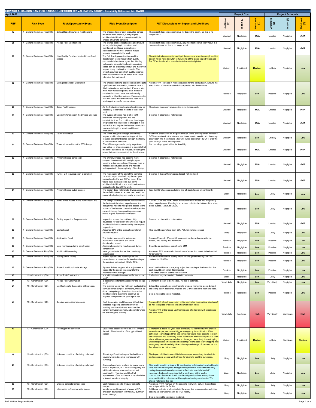| April 2022 |                                                                    | HOWARD A. HANSON DAM FISH PASSAGE - SECTION 902 VALIDATION STUDY - Feasibility Milestone #4 - CWRB |                                                                                                                                                                       |                                                                                                                                                                                                                             |                       | <b>Project Cost</b>      |                               |                       | <b>Project Schedule</b>  |                   |
|------------|--------------------------------------------------------------------|----------------------------------------------------------------------------------------------------|-----------------------------------------------------------------------------------------------------------------------------------------------------------------------|-----------------------------------------------------------------------------------------------------------------------------------------------------------------------------------------------------------------------------|-----------------------|--------------------------|-------------------------------|-----------------------|--------------------------|-------------------|
|            |                                                                    |                                                                                                    |                                                                                                                                                                       |                                                                                                                                                                                                                             |                       |                          |                               |                       |                          |                   |
| <b>REF</b> | <b>Risk Type</b>                                                   | <b>Risk/Opportunity Event</b>                                                                      | <b>Risk Event Description</b>                                                                                                                                         | <b>PDT Discussions on Impact and Likelihood</b>                                                                                                                                                                             | Likelihood<br>(C)     | mpact (C)                | k Level<br>(C)<br><b>Risk</b> | Likelihood<br>(S)     | pact (S)<br>Ξ            | Risk Level<br>(S) |
| 24         | - General Technical Risk (TR)                                      | Stilling Basin Scour pool modifications                                                            | The proposed scour pool excavates across<br>the entire river channel, it may require<br>additional stabilization or require multiple<br>phases of work to complete    | The current design is conservative for the stilling basin. So this is no<br>longer a risk                                                                                                                                   | Unrated               | Negligible               | #N/A                          | Unrated               | Negligible               | #N/A              |
| 25         | - General Technical Risk (TR)                                      | <b>Plunge Pool Modifications</b>                                                                   | The plunge pool concept as designed would<br>be very challenging to construct and<br>maintained, additional excavation or<br>stabilization of the river channel maybe | The current design is conservative, any modifications will likely result in a<br>decrease in cost so this is no longer a risk.                                                                                              | Unrated               | Negligible               | #N/A                          | Unrated               | Negligible               | #N/A              |
| 26         | 7 - General Technical Risk (TR)                                    | High Quality Finishes required in confined<br>spaces                                               | required to complete the work.<br>The Full flow bypass structure and the<br>deceleration tunnel require high quality                                                  | The risk is that a contractor can't get the concrete smooth enough and the<br>design would have to switch to fully lining of the steep slope bypass and                                                                     |                       |                          |                               |                       |                          |                   |
|            |                                                                    |                                                                                                    | concrete finishes to not injure fish. Getting<br>high quality concrete finishes in a confined<br>space can be extremely difficult and may even                        | first 50' of deceleration tunnel with stainless steel plates.                                                                                                                                                               |                       |                          |                               |                       |                          |                   |
|            |                                                                    |                                                                                                    | require epoxy coating the concrete. The<br>project assumes using high quality concrete<br>finishes and this could be much more labor<br>intensive that estimated.     |                                                                                                                                                                                                                             | Unlikelv              | Significant              | <b>Medium</b>                 | Unlikely              | Negligible               | Low               |
| 27         | - General Technical Risk (TR)                                      | <b>Stilling Basin Rock Excavation</b>                                                              | The proposed stilling basin does not anticipate<br>significant rock excavation, however rock in                                                                       | Assume 10% increase in rock excavation for the stilling basin. Ensure that<br>stabilization of the excavation is incorporated into the estimate.                                                                            |                       |                          |                               |                       |                          |                   |
|            |                                                                    |                                                                                                    | this location is not well defined. If we run into<br>more rock than anticipated, it will increase                                                                     |                                                                                                                                                                                                                             |                       |                          |                               |                       |                          |                   |
|            |                                                                    |                                                                                                    | construction costs, have to mechanically<br>excavate or blast the rock out. If we encounter<br>rock this could also eliminate the need for a                          |                                                                                                                                                                                                                             | Possible              | Negligible               | Low                           | Possible              | Negligible               | Low               |
| 28         | 7 - General Technical Risk (TR)                                    | Scour Pool Increase                                                                                | retaining structure for construction.<br>As the hydraulic modeling is refined it may be                                                                               | The design is conservative, so this is no longer a risk                                                                                                                                                                     |                       |                          |                               |                       |                          |                   |
|            |                                                                    |                                                                                                    | necessary to increase the size of the scour<br>pool.                                                                                                                  |                                                                                                                                                                                                                             | Unrated               | Negligible               | #N/A                          | Unrated               | Negligible               | #N/A              |
| 29         | 7 - General Technical Risk (TR)                                    | Geometry Changes in the Bypass Structure                                                           | The bypass structure has a lot of tight<br>tolerances with equipment and site<br>constraints, if we find conflicts as the design                                      | Covered in other risks, not modeled                                                                                                                                                                                         |                       |                          |                               |                       |                          |                   |
|            |                                                                    |                                                                                                    | progresses this could lead to changes in the<br>hydraulics and require the bypass structure to                                                                        |                                                                                                                                                                                                                             | Unrated               | Negligible               | #N/A                          | Unrated               | Negligible               | #N/A              |
| 30         | 7 - General Technical Risk (TR)                                    | <b>Tower Excavation</b>                                                                            | increase in length or require additional<br>excavation<br>The tower design is conceptual and may                                                                      | Additional excavation for the pass through to the existing tower. Additional                                                                                                                                                |                       |                          |                               |                       |                          |                   |
|            |                                                                    |                                                                                                    | require additional excavation to get all the<br>required equipment routed through the facility<br>to the bottom of the tower.                                         | 0-5% excavation for the elevator and tower needs. Need to add the sump<br>excavation into the estimate (25'x12'x 12'D), additional 130 CY x 2 for the<br>pass through to the existing tower                                 | Unlikely              | Negligible               | Low                           | Unlikely              | Negligible               | Low               |
| -31        | 7 - General Technical Risk (TR)                                    | Tower size used from the 95% design                                                                | The 95% design used a pretty large tower<br>size with a lot of open space, it is possible that                                                                        | Not modeling opportunities for feasibility.                                                                                                                                                                                 |                       |                          |                               |                       |                          |                   |
|            |                                                                    |                                                                                                    | the tower size could be reduced, reducing the<br>amount of concrete required for the structure.                                                                       |                                                                                                                                                                                                                             | Unrated               | Negligible               | #N/A                          | Unrated               | Negligible               | #N/A              |
| 32         | 7 - General Technical Risk (TR)                                    | Primary Bypass complexity                                                                          | The primary bypass has become more<br>complex to construct with multiple pipes<br>merging in the steep slope, this could lead to                                      | Covered in other risks, not modeled                                                                                                                                                                                         |                       |                          |                               |                       |                          |                   |
|            |                                                                    |                                                                                                    | increase construction costs or a need to<br>redesign due to the complexity of the design                                                                              |                                                                                                                                                                                                                             | Unrated               | Negligible               | #N/A                          | Unrated               | Negligible               | #N/A              |
| 33         | 7 - General Technical Risk (TR)                                    | Tunnel Exit requiring open excavation                                                              | The rock quality at the end of the tunnel is<br>known to be poor and will require an open                                                                             | Covered in the earthwork spreadsheet, not modeled                                                                                                                                                                           |                       |                          |                               |                       |                          |                   |
|            |                                                                    |                                                                                                    | excavation for the last 100' or more. This<br>would likely increase costs due to the<br>additional stabilization and additional material                              |                                                                                                                                                                                                                             | Unrated               | Negligible               | #N/A                          | Unrated               | Negligible               | #N/A              |
| 34         | - General Technical Risk (TR)                                      | Primary Bypass outfall access                                                                      | excavation to daylight the work.<br>The design does not include driving access to<br>the outfall location, an access road would be                                    | Include 200' of access road along the left bank (steep embankment).                                                                                                                                                         |                       |                          |                               |                       |                          |                   |
|            |                                                                    |                                                                                                    | extremely challenging and costly to construct                                                                                                                         |                                                                                                                                                                                                                             | Likely                | Negligible               | Low                           | Likely                | Negligible               | Low               |
| 35         | 7 - General Technical Risk (TR)                                    | Steep Slope access at the downstream end                                                           | The design currently does not have access to<br>the bottom of the steep slope bypass, the<br>design may need to incorporate access to the                             | Crawler Cams are \$55K, install a couple vertical access into the primary<br>steep slope bypass. Forming in an access point to the bottom of the steep<br>slope bypass. \$250K to \$500K                                    |                       |                          |                               |                       |                          |                   |
|            |                                                                    |                                                                                                    | bottom of the bypass or require an inspection<br>crawler/pipe pig. Incorporating an access                                                                            |                                                                                                                                                                                                                             | Likely                | Negligible               | Low                           | Likely                | Negligible               | Low               |
| 36         | 7 - General Technical Risk (TR)                                    | <b>Facility Inspection Requirements</b>                                                            | would require additional excavation<br>Inspection access has not been fully                                                                                           | Covered in other risks, not modeled                                                                                                                                                                                         |                       |                          |                               |                       |                          |                   |
|            |                                                                    |                                                                                                    | developed for the facility and will likely require<br>additional infrastructure to facility the required<br>inspections                                               |                                                                                                                                                                                                                             | Unrated               | Negligible               | #N/A                          | Unrated               | Negligible               | #N/A              |
| 37         | 7 - General Technical Risk (TR)                                    | Geotechnical                                                                                       | Assumed 50% of the excavation material<br>could be reused                                                                                                             | This could be anywhere from 25%-75% for material reused                                                                                                                                                                     | Likely                | Negligible               | Low                           | Likely                | Negligible               | Low               |
| 38         | 7 - General Technical Risk (TR)                                    | <b>Acclimation Pond</b>                                                                            | The design may need to include an<br>acclimation pond at the end of the<br>deceleration tunnel                                                                        | Assume 5' wide by 8' deep 50' long concrete box with a dewatering<br>screen, bird netting and earthwork.                                                                                                                    | Possible              | Negligible               | Low                           | Possible              | Negligible               | Low               |
| 39<br>40   | 7 - General Technical Risk (TR)<br>7 - General Technical Risk (TR) | More monitoring during construction<br><b>Additional Dewatering</b>                                | Additional monitoring may be need during<br>construction<br>More groundwater issues that previously                                                                   | Could be an additional cost of up to \$1M<br>Assume a 20% increase in the volume of water that needs to be handled                                                                                                          | Possible              | Negligible               | Low                           | Possible              | Negligible               | Low               |
| 41         | 7 - General Technical Risk (TR)                                    | Scaling of the facility                                                                            | experienced<br>Interior systems are not designed and<br>currently cost is based on factored scaling of                                                                | for dewatering<br>Assume we double the scaling factor for the general facility (10-15%)<br>doubled to 20-30%)                                                                                                               | Possible              | Negligible               | Low                           | Possible              | Negligible               | Low               |
| 42         | - General Technical Risk (TR)                                      | Phase II additional water storage                                                                  | the previous estimate of 10% to 15%.<br>If phase II does happen, what adjustment is                                                                                   | Won't add additional horns, may adjust the spacing of the horns but the                                                                                                                                                     | Possible              | Negligible               | Low                           | Possible              | Negligible               | Low               |
|            |                                                                    |                                                                                                    | needed to the design to account for the<br>additional water storage?                                                                                                  | cost should be minimal. Not modeled<br>Completed phase II cost is now included.                                                                                                                                             | Possible              | Negligible               | Low                           | Possible              | Negligible               | Low               |
| 43<br>44   | 13 - Construction (CO)<br>13 - Construction (CO)                   | Scour Pool Construction<br><b>Plunge Pool Construction</b>                                         | Is additional cofferdam needed for the scour<br>pool?<br>Is additional cofferdam needed for the plunge                                                                | Cofferdam may be needed. Added to estimate.<br>Cofferdam is likely to be needed. Added to estimate.                                                                                                                         | Likely<br>Very Likely | Negligible<br>Negligible | Low<br>Low                    | Likely<br>Very Likely | Negligible<br>Negligible | Low<br>Low        |
| 45         | 13 - Construction (CO)                                             | Modifications to the existing stilling basin                                                       | pool?<br>The existing tunnel has not been evaluated fo<br>survivability at low pool elevations, this will be                                                          | Extend the excavation downstream to create a more mild slope. Extend<br>the stilling basin additional 30 yards and 2' thick concrete floor and walls.                                                                       |                       |                          |                               |                       |                          |                   |
|            |                                                                    |                                                                                                    | done during design, there is a chance that<br>modifications to the stilling basin will be<br>required to improve safe passage of fish.                                | Cost is negligible so not modeled.                                                                                                                                                                                          | Possible              | Negligible               | Low                           | Possible              | Negligible               | Low               |
| 46         | 13 - Construction (CO)                                             | Blasting near critical structures                                                                  | Rock Excavation could be more difficult than                                                                                                                          | Assume 25% of rock excavation will be controlled (near critical structures)                                                                                                                                                 |                       |                          |                               |                       |                          |                   |
|            |                                                                    |                                                                                                    | expected requiring additional effort for<br>blasting, additionally there are a number of<br>sensitive structures directly adjacent to where                           | so half the space or double the amount of blast holes.<br>Assume 100' of the tunnel upstream is also affected and will experience                                                                                           |                       |                          |                               |                       |                          |                   |
|            |                                                                    |                                                                                                    | we are doing the blasting                                                                                                                                             | this slow down.                                                                                                                                                                                                             | Very Likely           | Moderate                 | <b>High</b>                   | Very Likely           | Significant              | High              |
|            |                                                                    |                                                                                                    |                                                                                                                                                                       |                                                                                                                                                                                                                             |                       |                          |                               |                       |                          |                   |
| 47         | 13 - Construction (CO)                                             | Flooding of the cofferdam                                                                          | Usual flood season is 10/15 to 2/15. What is<br>the risk of flood outside of the typical flood                                                                        | Cofferdam is above 10-year flood elevation; 10-year flood (10% chance<br>exceedance per year) would trigger emergency demobilization. If the<br>cofferdam is overtopped then the contractor would incur costs to re-drain   |                       |                          |                               |                       |                          |                   |
|            |                                                                    |                                                                                                    | season                                                                                                                                                                | the cofferdam and potentially repair some work. Minimum impact is a false<br>alarm with emergency demob but no damages. Most likely is overtopping                                                                          | Unlikelv              | Significant              | <b>Medium</b>                 | Unlikely              | Significant              | <b>Medium</b>     |
|            |                                                                    |                                                                                                    |                                                                                                                                                                       | with emergency demob and some cleanup. Worst case is overtopping with<br>emergency demob and significant cleanup and delays. Four seasons --><br>four chances for risk to occur.                                            |                       |                          |                               |                       |                          |                   |
| 48         | 13 - Construction (CO)                                             | Unknown condition of existing bulkhead                                                             | Risk of significant leakage of the bulkheads                                                                                                                          | The impact of this risk would likely be a couple week delay in schedule                                                                                                                                                     |                       |                          |                               |                       |                          |                   |
|            |                                                                    |                                                                                                    | beyond what is tolerable to manage with<br>pumping.                                                                                                                   | and guessing a weeks worth of time for divers to seal the bulkheads.                                                                                                                                                        | Likely                | Negligible               | Low                           | Likely                | Negligible               | Low               |
| 49         | 13 - Construction (CO)                                             | Unknown condition of existing bulkhead                                                             | Stoplogs have been in place for many years<br>without inspection, PDT is assuming they are<br>still in a functional state and do not leak                             | This would result in at least a 12 month delay to fabricated new bulkheads.<br>This risk can be mitigated through an inspection of the bulkheads early<br>during design and an early contract to fabricate new bulkheads if |                       |                          |                               |                       |                          |                   |
|            |                                                                    |                                                                                                    | significantly. The risk would be that<br>replacement of the bulkheads is required due                                                                                 | necessary that can be provided to the contractor at the start of<br>construction. Because this risk can be mitigated and we already have                                                                                    | Likely                | Negligible               | Low                           | Likely                | Negligible               | Low               |
| 50         | 13 - Construction (CO)                                             | Unusual concrete forms/shape                                                                       | to loss of structural integrity<br>Cost increases due to irregular concrete                                                                                           | assumed that the bulkheads will be replaced during construction We<br>should not model this risk.<br>Assume a +10% markup on the concrete formwork, 50% of the surfaces                                                     |                       |                          |                               |                       |                          |                   |
| 51         | 13 - Construction (CO)                                             | Interruption to Tacoma water supply                                                                | shapes<br>Monitoring and treatment of water at TPU<br>diversion downstream (80-90 MGD summer                                                                          | are unique within the facility<br>Additional turbidity or chemicals in the water due to construction activities<br>that impact the water quality at TPUs facility.                                                          | Likely                | Negligible               | Low                           | Likely                | Negligible               | Low               |
|            |                                                                    |                                                                                                    | winter -50 mgd)                                                                                                                                                       | Cost is negligible so risk not modeled.                                                                                                                                                                                     | Likely                | Negligible               | Low                           | Likely                | Negligible               | Low               |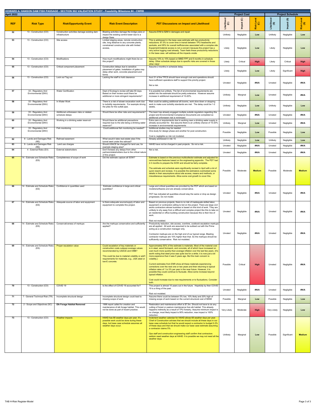| April 2022 |                                            | HOWARD A. HANSON DAM FISH PASSAGE - SECTION 902 VALIDATION STUDY - Feasibility Milestone #4 - CWRB |                                                                                                                                                                                                                                             |                                                                                                                                                                                                                                                                                                                                                                                                                                                                                                                                                                                                                                                                                                                                                                                                                |                   | <b>Project Cost</b>           |                   |                   | <b>Project Schedule</b>                     |                   |
|------------|--------------------------------------------|----------------------------------------------------------------------------------------------------|---------------------------------------------------------------------------------------------------------------------------------------------------------------------------------------------------------------------------------------------|----------------------------------------------------------------------------------------------------------------------------------------------------------------------------------------------------------------------------------------------------------------------------------------------------------------------------------------------------------------------------------------------------------------------------------------------------------------------------------------------------------------------------------------------------------------------------------------------------------------------------------------------------------------------------------------------------------------------------------------------------------------------------------------------------------------|-------------------|-------------------------------|-------------------|-------------------|---------------------------------------------|-------------------|
|            |                                            |                                                                                                    |                                                                                                                                                                                                                                             |                                                                                                                                                                                                                                                                                                                                                                                                                                                                                                                                                                                                                                                                                                                                                                                                                |                   |                               |                   | g                 |                                             |                   |
| <b>REF</b> | <b>Risk Type</b>                           | <b>Risk/Opportunity Event</b>                                                                      | <b>Risk Event Description</b>                                                                                                                                                                                                               | <b>PDT Discussions on Impact and Likelihood</b>                                                                                                                                                                                                                                                                                                                                                                                                                                                                                                                                                                                                                                                                                                                                                                | Likelihood<br>(C) | $\widehat{\mathbf{C}}$<br>act | Risk Level<br>(C) | $\frac{1}{e}$ (3) | $\widehat{\mathbf{G}}$<br>岩<br>$\mathbf{E}$ | Risk Level<br>(S) |
| 52         | 13 - Construction (CO)                     | Construction activities damage existing dam<br>infrastructure                                      | Blasting activities damage the bridge piers or<br>impact the existing control tower due to a<br>design flaws                                                                                                                                | Assume \$1M to \$2M in damages and repair                                                                                                                                                                                                                                                                                                                                                                                                                                                                                                                                                                                                                                                                                                                                                                      | Unlikely          | Negligible                    | Low               | Unlikely          | Negligible                                  | Low               |
| 53         | 13 - Construction (CO)                     | Site access                                                                                        | Limited staging areas, remote construction<br>site, long distance to any concrete plants,<br>constrained construction site with limited<br>access,                                                                                          | This is addressed in the base case estimate with two productivity<br>reductions: 87.5% to cover time in transit between TPU headworks and<br>worksite, and 95% for overall inefficiencies associated with a complex site<br>Equipment/material access is not a concern because the project has a<br>very active logging road already. Team feels these productivity reductions<br>in the base case. will address all the impacts onsite.                                                                                                                                                                                                                                                                                                                                                                       | Likely            | Negligible                    | Low               | Likely            | Negligible                                  | Low               |
| 54         | 13 - Construction (CO)                     | Modifications                                                                                      | How much modifications might there be on<br>this project?                                                                                                                                                                                   | Assume 10% to 15% based on MMD FPF and 6 months in schedule<br>delay. Other schedule delays due to specific risks are covered in those<br>other risks!                                                                                                                                                                                                                                                                                                                                                                                                                                                                                                                                                                                                                                                         | Likely            | Critical                      | <b>High</b>       | Likely            | Critical                                    | <b>High</b>       |
| 55         | 13 - Construction (CO)                     | Critical component placement                                                                       | Construction delays due to sensitive<br>placement of gates. Installation of gates may<br>delay other work, concrete placement and                                                                                                           | Assume 2 months in schedule delay.                                                                                                                                                                                                                                                                                                                                                                                                                                                                                                                                                                                                                                                                                                                                                                             | Likely            | Negligible                    | Low               | Likely            | Significant                                 | <b>High</b>       |
| 56         | 13 - Construction (CO)                     | Lock out Tag out                                                                                   | forms<br>Lacking the staff to hold clearance                                                                                                                                                                                                | Acct 31 of the TPCS should have enough cost and operations should<br>have sufficient operations staff to support this priority project.<br>Not a risk.                                                                                                                                                                                                                                                                                                                                                                                                                                                                                                                                                                                                                                                         | Unrated           | Negligible                    | #N/A              | Unrated           | Negligible                                  | #N/A              |
| 57         | 33 - Regulatory And<br>Environmental (ENV) | <b>Water Certification</b>                                                                         | Dept of Ecology's review will take 60 days.<br>Based on their review could there be<br>additional or more stringent requirements?                                                                                                           | It is possible but unlikely. The list of environmental requirements are<br>added into the estimate should be pretty extensive. However assume<br>increase in additional requirement of 10-20%.                                                                                                                                                                                                                                                                                                                                                                                                                                                                                                                                                                                                                 | Unlikelv          | Marginal                      | Low               | Unrated           | Negligible                                  | #N/A              |
| 58         | 33 - Regulatory And<br>Environmental (ENV) | In Water Work                                                                                      | There is a risk of slower excavation work due<br>to turbidity requirements. For example driving<br>the piles for the outfall pipe.                                                                                                          | Risk could be adding additional silt booms, work slow down or stopping<br>work to make sure turbidity standards are met. The delay could be 1-2<br>weeks.                                                                                                                                                                                                                                                                                                                                                                                                                                                                                                                                                                                                                                                      | Unlikelv          | Negligible                    | Low               | Unlikely          | Negligible                                  | Low               |
| 59         | 33 - Regulatory And<br>Environmental (ENV) | Additional unforeseen risks or related<br>schedule delays                                          | Would there be other risks and requirements'                                                                                                                                                                                                | The team has already engaged multiple outside regulators regarding this<br>project and Environmental Compliance Documents are completed so<br>additional unforeseen risk is minimized                                                                                                                                                                                                                                                                                                                                                                                                                                                                                                                                                                                                                          | Unrated           | Negligible                    | #N/A              | Unrated           | Negligible                                  | #N/A              |
| 60         | 33 - Regulatory And<br>Environmental (ENV) | Working in a drinking water reservoir                                                              | Would there be additional precautions<br>required due to the site being a drinking water<br>reservoir?                                                                                                                                      | Extra care or requirements due to working near a drinking water supply is<br>already accounted for. But assume there is an unlikely chance of 10-20%<br>increase in environmental requirements                                                                                                                                                                                                                                                                                                                                                                                                                                                                                                                                                                                                                 | Unlikelv          | Marginal                      | Low               | Unrated           | Negligible                                  | #N/A              |
| 61         | 33 - Regulatory And<br>Environmental (ENV) | Fish monitoring                                                                                    | Could additional fish monitoring be needed?                                                                                                                                                                                                 | Additional studies may be needed.<br>One study for design phase and another for post construction.<br>Cost is negligible so risk not modeled.                                                                                                                                                                                                                                                                                                                                                                                                                                                                                                                                                                                                                                                                  | Possible          | Negligible                    | Low               | Possible          | Negligible                                  | Low               |
| 62         | 9 - Lands and Damages Risk<br>(RE)         | Railroad easement                                                                                  | What would it take real estate wise if the<br>tunnel went under the railroad?                                                                                                                                                               | Already addressed in risk 10.                                                                                                                                                                                                                                                                                                                                                                                                                                                                                                                                                                                                                                                                                                                                                                                  | Unlikely          | Negligible                    | Low               | Unlikely          | Negligible                                  | Low               |
| 63         | 9 - Lands and Damages Risk                 | Land use charges                                                                                   | Would USACE be charged for land use, for                                                                                                                                                                                                    | HAHD have not be charged in past projects. So not a risk.                                                                                                                                                                                                                                                                                                                                                                                                                                                                                                                                                                                                                                                                                                                                                      | Unrated           | Negligible                    | #N/A              | Unrated           | Negligible                                  | #N/A              |
| 64         | (RE)<br>4 - External Risks (EX)            | <b>External stakeholders</b>                                                                       | example staging area?<br>Don't foresee any delays from other                                                                                                                                                                                | Not a risk.                                                                                                                                                                                                                                                                                                                                                                                                                                                                                                                                                                                                                                                                                                                                                                                                    |                   |                               |                   |                   |                                             |                   |
|            |                                            |                                                                                                    | partners/stakeholders due to the critical nature<br>of this project.                                                                                                                                                                        |                                                                                                                                                                                                                                                                                                                                                                                                                                                                                                                                                                                                                                                                                                                                                                                                                | Unrated           | Negligible                    | #N/A              | Unrated           | Negligible                                  | #N/A              |
| 65         | 14 - Estimate and Schedule Risks<br>(ES)   | Completeness of scope of work                                                                      | Did the estimate capture all SOW?                                                                                                                                                                                                           | Estimate is based on the previous multicollector estimate and adjusted for<br>removed/new features based on the engineering appendix. The PDT had<br>2-3 months to prepare the SOW and should be fairly complete.<br>The estimate and schedule were significantly revised in April with a lot of<br>quick rework and reviews. It is possible the estimators overlooked some<br>details in their assumptions about site access, means and methods, or<br>miscellaneous requirements. Allow some cost growth to cover this.                                                                                                                                                                                                                                                                                      | Possible          | Moderate                      | <b>Medium</b>     | Possible          | Moderate                                    | <b>Medium</b>     |
| 66         | 14 - Estimate and Schedule Risks<br>(ES)   | Confidence in quantities used                                                                      | Estimate confidence in large and critical<br>quantities?                                                                                                                                                                                    | Large and critical quantities are provided by the PDT which are based on<br>models/softwares and are already conservative.<br>PDT has indicated all quantities should stay the same or drop as design<br>progresses. Do not model.                                                                                                                                                                                                                                                                                                                                                                                                                                                                                                                                                                             | Unrated           | Negligible                    | #N/A              | Unrated           | Negligible                                  | #N/A              |
| 67         | 14 - Estimate and Schedule Risks<br>(ES)   | Adequate source of labor and equipment                                                             | Is there adequate source/supply of labor and<br>equipment to complete this project.                                                                                                                                                         | Based on previous projects, there is no risk of inadequate skilled labor,<br>equipment or contractors willing to bid on the project. There are large civil<br>works contractors whose business is based on this kind of work. They are<br>unlikely to shy away from a difficult and complex project like this to take on<br>an residential or office building construction because this is their line of<br>work.                                                                                                                                                                                                                                                                                                                                                                                              | Unrated           | Negligible                    | #N/A              | Unrated           | Negligible                                  | #N/A              |
| 68         | 14 - Estimate and Schedule Risks<br>(ES)   | Conservativeness of markups                                                                        | Are the markups conservative and sufficiently<br>applied?                                                                                                                                                                                   | Risk not modeled.<br>Productivity reduction, site access, overtime, costbook escalation markups<br>are all applied. All work are assumed to be subbed out with the Prime<br>acting as a construction manager only.<br>Contractor markups are on the high end of our typical range. Blasting<br>contractor markups are 10% higher than that. So the markups should be<br>sufficiently conservative. Risk not modeled.                                                                                                                                                                                                                                                                                                                                                                                           | Unrated           | Negligible                    | #N/A              | Unrated           | Negligible                                  | #N/A              |
| 69         | 14 - Estimate and Schedule Risks<br>(ES)   | Proper escalation value                                                                            | Could escalation of key materials or<br>construction costs outpace average values<br>recommended by USACE and OMB?<br>This could be due to material volatility or add'<br>requirements for materials, e.g., USA steel or<br>low-E concrete. | Approximately 50% of the estimate is materials. Most of the material cost<br>is in steel, wood formwork, and concrete, all of which have increased on<br>cost much more quickly than average inflation over the last few years. (It's<br>worth noting that steel price was quite low for a while; it is now just a bit<br>more expensive than it was 5 years ago. But the main concern is<br>volatility.)<br>Current estimates from ENR show all these materials experiencing<br>corrections over the next one or two years and then returning to typical<br>inflation rates of 1 to 3% per year in the near future. However, it is<br>possible they could continue to fluctuate. Allow some increase beyond<br>typical inflation.<br>Cost could increase due to new requirements or to fluctuations. Consider | Possible          | Critical                      | High              | Unrated           | Negligible                                  | #N/A              |
| 70         | 13 - Construction (CO)                     | COVID <sub>19</sub>                                                                                | Is the effect of COVID 19 accounted for?                                                                                                                                                                                                    | both.<br>This project is almost 10 years out in the future. Hopefully by then COVID<br>19 is a thing of the past.<br>Risk not modeled.                                                                                                                                                                                                                                                                                                                                                                                                                                                                                                                                                                                                                                                                         | Unrated           | Negligible                    | #N/A              | Unrated           | Negligible                                  | #N/A              |
| 71         | 7 - General Technical Risk (TR)            | Incomplete structural design                                                                       | Incomplete structural design could lead to<br>missing scope of work                                                                                                                                                                         | Assume there could be between 5% low, 10% likely and 20% high of<br>missing scope of work based on the current structural cost of \$50M                                                                                                                                                                                                                                                                                                                                                                                                                                                                                                                                                                                                                                                                        | Possible          | Marginal                      | Low               | Possible          | Negligible                                  | Low               |
| 72         | 2 - Scope and Objectives (SC)              | <b>Elk Forage Habitat Removed</b>                                                                  | 1998 report called for creation and<br>maintenance of elk forage habitat. This would<br>not be done as part of recent practice.                                                                                                             | Restoration and maintenance effort is \$7.5m. Should not have to do any<br>cutting of forest or pasture maintenance fore elk habitat. This already<br>happens indirectly as a result of TPU forestry. Assume minimum impact is<br>no change, most likely impact is 90% reduction, max impact is 100%<br>reduction.                                                                                                                                                                                                                                                                                                                                                                                                                                                                                             | Very Likely       | Moderate                      | High              | Very Likely       | Negligible                                  | Low               |
| 73         | 13 - Construction (CO)                     | <b>Weather impacts</b>                                                                             | HAHD has 68 weather days per year. It's<br>possible work could be done during these<br>days, but base case schedule assumes all<br>weather days occur.                                                                                      | Inclement weather calendar for HAHD allows 68 weather days per year.<br>Chief of Construction advises that we should include all these days in our<br>base case schedule but that he would expect a contractor to budget 0-3%<br>of these days and that we should make our base case estimate assuming<br>a contractor claims 5%.<br>Ops staff and construction engineering staff confirm that contractors<br>seldom need weather days at HAHD. It is possible we may not need all the<br>weather days.                                                                                                                                                                                                                                                                                                        | Unlikelv          | Marginal                      | Low               | Possible          | Significant                                 | <b>Medium</b>     |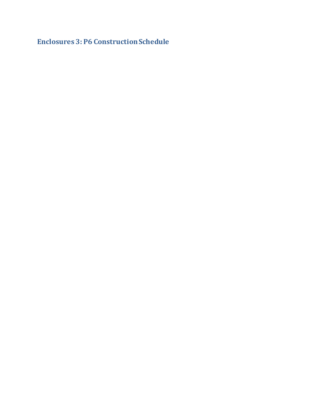**Enclosures 3: P6 Construction Schedule**